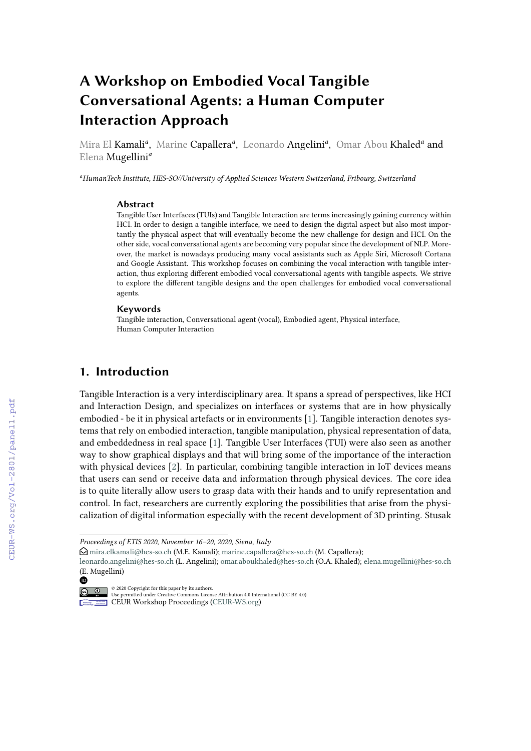# **A Workshop on Embodied Vocal Tangible Conversational Agents: a Human Computer Interaction Approach**

Mira El Kamali<sup>a</sup>, Marine Capallera<sup>a</sup>, Leonardo Angelini<sup>a</sup>, Omar Abou Khaled<sup>a</sup> and Elena Mugellini*<sup>a</sup>*

*<sup>a</sup>HumanTech Institute, HES-SO//University of Applied Sciences Western Switzerland, Fribourg, Switzerland*

#### **Abstract**

Tangible User Interfaces (TUIs) and Tangible Interaction are terms increasingly gaining currency within HCI. In order to design a tangible interface, we need to design the digital aspect but also most importantly the physical aspect that will eventually become the new challenge for design and HCI. On the other side, vocal conversational agents are becoming very popular since the development of NLP. Moreover, the market is nowadays producing many vocal assistants such as Apple Siri, Microsoft Cortana and Google Assistant. This workshop focuses on combining the vocal interaction with tangible interaction, thus exploring different embodied vocal conversational agents with tangible aspects. We strive to explore the different tangible designs and the open challenges for embodied vocal conversational agents.

#### **Keywords**

Tangible interaction, Conversational agent (vocal), Embodied agent, Physical interface, Human Computer Interaction

### **1. Introduction**

Tangible Interaction is a very interdisciplinary area. It spans a spread of perspectives, like HCI and Interaction Design, and specializes on interfaces or systems that are in how physically embodied - be it in physical artefacts or in environments [\[1\]](#page--1-0). Tangible interaction denotes systems that rely on embodied interaction, tangible manipulation, physical representation of data, and embeddedness in real space [\[1\]](#page--1-0). Tangible User Interfaces (TUI) were also seen as another way to show graphical displays and that will bring some of the importance of the interaction with physical devices [\[2\]](#page--1-1). In particular, combining tangible interaction in IoT devices means that users can send or receive data and information through physical devices. The core idea is to quite literally allow users to grasp data with their hands and to unify representation and control. In fact, researchers are currently exploring the possibilities that arise from the physicalization of digital information especially with the recent development of 3D printing. Stusak

 $\Theta$  [mira.elkamali@hes-so.ch](mailto:mira.elkamali@hes-so.ch) (M.E. Kamali); [marine.capallera@hes-so.ch](mailto:marine.capallera@hes-so.ch) (M. Capallera);

◍

*Proceedings of ETIS 2020, November 16–20, 2020, Siena, Italy*

[leonardo.angelini@hes-so.ch](mailto:leonardo.angelini@hes-so.ch) (L. Angelini); [omar.aboukhaled@hes-so.ch](mailto:omar.aboukhaled@hes-so.ch) (O.A. Khaled); [elena.mugellini@hes-so.ch](mailto:elena.mugellini@hes-so.ch) (E. Mugellini)

<sup>©</sup> 2020 Copyright for this paper by its authors. Use permitted under Creative Commons License Attribution 4.0 International (CC BY 4.0).

**CEUR Workshop [Proceedings](http://ceur-ws.org) [\(CEUR-WS.org\)](http://ceur-ws.org)**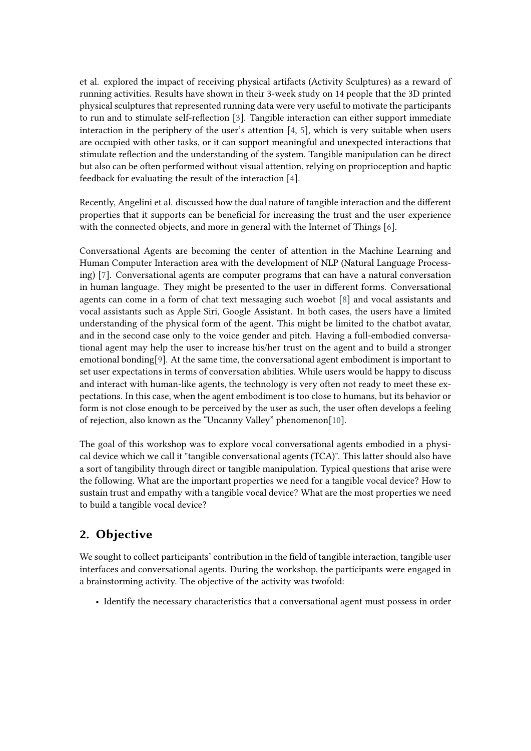et al. explored the impact of receiving physical artifacts (Activity Sculptures) as a reward of running activities. Results have shown in their 3-week study on 14 people that the 3D printed physical sculptures that represented running data were very useful to motivate the participants to run and to stimulate self-reflection [\[3\]](#page-5-0). Tangible interaction can either support immediate interaction in the periphery of the user's attention  $[4, 5]$  $[4, 5]$  $[4, 5]$ , which is very suitable when users are occupied with other tasks, or it can support meaningful and unexpected interactions that stimulate reflection and the understanding of the system. Tangible manipulation can be direct but also can be often performed without visual attention, relying on proprioception and haptic feedback for evaluating the result of the interaction [\[4\]](#page-5-1).

Recently, Angelini et al. discussed how the dual nature of tangible interaction and the different properties that it supports can be beneficial for increasing the trust and the user experience with the connected objects, and more in general with the Internet of Things [\[6\]](#page-6-1).

Conversational Agents are becoming the center of attention in the Machine Learning and Human Computer Interaction area with the development of NLP (Natural Language Processing) [\[7\]](#page-6-2). Conversational agents are computer programs that can have a natural conversation in human language. They might be presented to the user in different forms. Conversational agents can come in a form of chat text messaging such woebot [\[8\]](#page-6-3) and vocal assistants and vocal assistants such as Apple Siri, Google Assistant. In both cases, the users have a limited understanding of the physical form of the agent. This might be limited to the chatbot avatar, and in the second case only to the voice gender and pitch. Having a full-embodied conversational agent may help the user to increase his/her trust on the agent and to build a stronger emotional bonding[\[9\]](#page-6-4). At the same time, the conversational agent embodiment is important to set user expectations in terms of conversation abilities. While users would be happy to discuss and interact with human-like agents, the technology is very often not ready to meet these expectations. In this case, when the agent embodiment is too close to humans, but its behavior or form is not close enough to be perceived by the user as such, the user often develops a feeling of rejection, also known as the "Uncanny Valley" phenomenon[\[10\]](#page-6-5).

The goal of this workshop was to explore vocal conversational agents embodied in a physical device which we call it "tangible conversational agents (TCA)". This latter should also have a sort of tangibility through direct or tangible manipulation. Typical questions that arise were the following. What are the important properties we need for a tangible vocal device? How to sustain trust and empathy with a tangible vocal device? What are the most properties we need to build a tangible vocal device?

## **2. Objective**

We sought to collect participants' contribution in the field of tangible interaction, tangible user interfaces and conversational agents. During the workshop, the participants were engaged in a brainstorming activity. The objective of the activity was twofold:

• Identify the necessary characteristics that a conversational agent must possess in order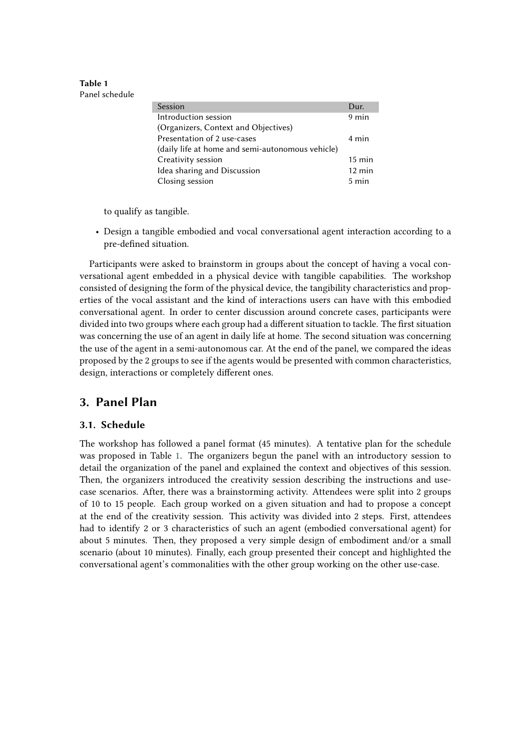<span id="page-2-0"></span>**Table 1** Panel schedule

| Session                                          | Dur.             |
|--------------------------------------------------|------------------|
| Introduction session                             | 9 min            |
| (Organizers, Context and Objectives)             |                  |
| Presentation of 2 use-cases                      | 4 min            |
| (daily life at home and semi-autonomous vehicle) |                  |
| Creativity session                               | $15 \text{ min}$ |
| Idea sharing and Discussion                      | $12 \text{ min}$ |
| Closing session                                  | 5 min            |

to qualify as tangible.

I

• Design a tangible embodied and vocal conversational agent interaction according to a pre-defined situation.

Participants were asked to brainstorm in groups about the concept of having a vocal conversational agent embedded in a physical device with tangible capabilities. The workshop consisted of designing the form of the physical device, the tangibility characteristics and properties of the vocal assistant and the kind of interactions users can have with this embodied conversational agent. In order to center discussion around concrete cases, participants were divided into two groups where each group had a different situation to tackle. The first situation was concerning the use of an agent in daily life at home. The second situation was concerning the use of the agent in a semi-autonomous car. At the end of the panel, we compared the ideas proposed by the 2 groups to see if the agents would be presented with common characteristics, design, interactions or completely different ones.

### **3. Panel Plan**

#### **3.1. Schedule**

The workshop has followed a panel format (45 minutes). A tentative plan for the schedule was proposed in Table [1.](#page-2-0) The organizers begun the panel with an introductory session to detail the organization of the panel and explained the context and objectives of this session. Then, the organizers introduced the creativity session describing the instructions and usecase scenarios. After, there was a brainstorming activity. Attendees were split into 2 groups of 10 to 15 people. Each group worked on a given situation and had to propose a concept at the end of the creativity session. This activity was divided into 2 steps. First, attendees had to identify 2 or 3 characteristics of such an agent (embodied conversational agent) for about 5 minutes. Then, they proposed a very simple design of embodiment and/or a small scenario (about 10 minutes). Finally, each group presented their concept and highlighted the conversational agent's commonalities with the other group working on the other use-case.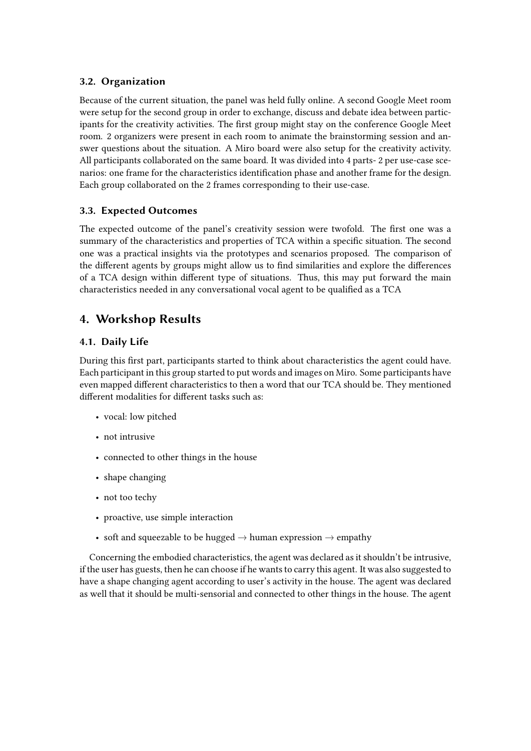### **3.2. Organization**

Because of the current situation, the panel was held fully online. A second Google Meet room were setup for the second group in order to exchange, discuss and debate idea between participants for the creativity activities. The first group might stay on the conference Google Meet room. 2 organizers were present in each room to animate the brainstorming session and answer questions about the situation. A Miro board were also setup for the creativity activity. All participants collaborated on the same board. It was divided into 4 parts- 2 per use-case scenarios: one frame for the characteristics identification phase and another frame for the design. Each group collaborated on the 2 frames corresponding to their use-case.

### **3.3. Expected Outcomes**

The expected outcome of the panel's creativity session were twofold. The first one was a summary of the characteristics and properties of TCA within a specific situation. The second one was a practical insights via the prototypes and scenarios proposed. The comparison of the different agents by groups might allow us to find similarities and explore the differences of a TCA design within different type of situations. Thus, this may put forward the main characteristics needed in any conversational vocal agent to be qualified as a TCA

### **4. Workshop Results**

#### **4.1. Daily Life**

During this first part, participants started to think about characteristics the agent could have. Each participant in this group started to put words and images on Miro. Some participants have even mapped different characteristics to then a word that our TCA should be. They mentioned different modalities for different tasks such as:

- vocal: low pitched
- not intrusive
- connected to other things in the house
- shape changing
- not too techy
- proactive, use simple interaction
- soft and squeezable to be hugged  $\rightarrow$  human expression  $\rightarrow$  empathy

Concerning the embodied characteristics, the agent was declared as it shouldn't be intrusive, if the user has guests, then he can choose if he wants to carry this agent. It was also suggested to have a shape changing agent according to user's activity in the house. The agent was declared as well that it should be multi-sensorial and connected to other things in the house. The agent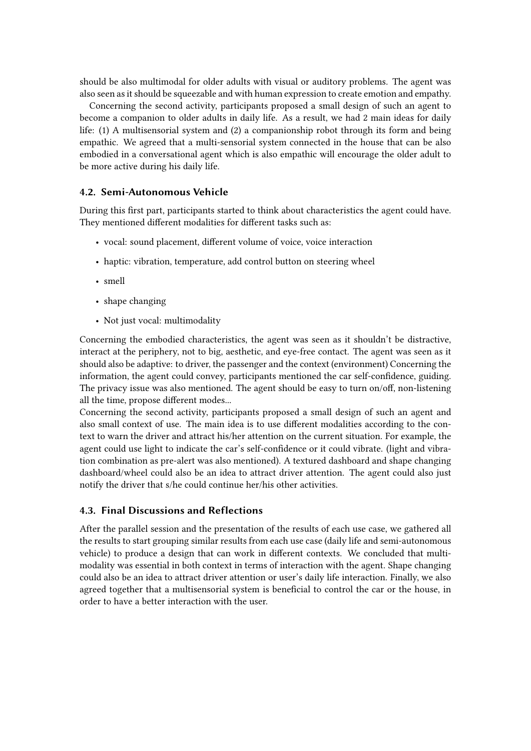should be also multimodal for older adults with visual or auditory problems. The agent was also seen as it should be squeezable and with human expression to create emotion and empathy.

Concerning the second activity, participants proposed a small design of such an agent to become a companion to older adults in daily life. As a result, we had 2 main ideas for daily life: (1) A multisensorial system and (2) a companionship robot through its form and being empathic. We agreed that a multi-sensorial system connected in the house that can be also embodied in a conversational agent which is also empathic will encourage the older adult to be more active during his daily life.

#### **4.2. Semi-Autonomous Vehicle**

During this first part, participants started to think about characteristics the agent could have. They mentioned different modalities for different tasks such as:

- vocal: sound placement, different volume of voice, voice interaction
- haptic: vibration, temperature, add control button on steering wheel
- smell
- shape changing
- Not just vocal: multimodality

Concerning the embodied characteristics, the agent was seen as it shouldn't be distractive, interact at the periphery, not to big, aesthetic, and eye-free contact. The agent was seen as it should also be adaptive: to driver, the passenger and the context (environment) Concerning the information, the agent could convey, participants mentioned the car self-confidence, guiding. The privacy issue was also mentioned. The agent should be easy to turn on/off, non-listening all the time, propose different modes...

Concerning the second activity, participants proposed a small design of such an agent and also small context of use. The main idea is to use different modalities according to the context to warn the driver and attract his/her attention on the current situation. For example, the agent could use light to indicate the car's self-confidence or it could vibrate. (light and vibration combination as pre-alert was also mentioned). A textured dashboard and shape changing dashboard/wheel could also be an idea to attract driver attention. The agent could also just notify the driver that s/he could continue her/his other activities.

#### **4.3. Final Discussions and Reflections**

After the parallel session and the presentation of the results of each use case, we gathered all the results to start grouping similar results from each use case (daily life and semi-autonomous vehicle) to produce a design that can work in different contexts. We concluded that multimodality was essential in both context in terms of interaction with the agent. Shape changing could also be an idea to attract driver attention or user's daily life interaction. Finally, we also agreed together that a multisensorial system is beneficial to control the car or the house, in order to have a better interaction with the user.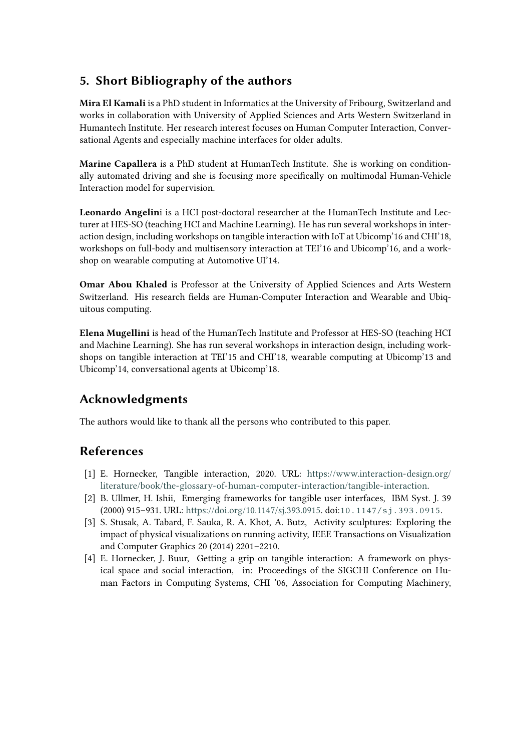# **5. Short Bibliography of the authors**

**Mira El Kamali** is a PhD student in Informatics at the University of Fribourg, Switzerland and works in collaboration with University of Applied Sciences and Arts Western Switzerland in Humantech Institute. Her research interest focuses on Human Computer Interaction, Conversational Agents and especially machine interfaces for older adults.

**Marine Capallera** is a PhD student at HumanTech Institute. She is working on conditionally automated driving and she is focusing more specifically on multimodal Human-Vehicle Interaction model for supervision.

**Leonardo Angelin**i is a HCI post-doctoral researcher at the HumanTech Institute and Lecturer at HES-SO (teaching HCI and Machine Learning). He has run several workshops in interaction design, including workshops on tangible interaction with IoT at Ubicomp'16 and CHI'18, workshops on full-body and multisensory interaction at TEI'16 and Ubicomp'16, and a workshop on wearable computing at Automotive UI'14.

**Omar Abou Khaled** is Professor at the University of Applied Sciences and Arts Western Switzerland. His research fields are Human-Computer Interaction and Wearable and Ubiquitous computing.

**Elena Mugellini** is head of the HumanTech Institute and Professor at HES-SO (teaching HCI and Machine Learning). She has run several workshops in interaction design, including workshops on tangible interaction at TEI'15 and CHI'18, wearable computing at Ubicomp'13 and Ubicomp'14, conversational agents at Ubicomp'18.

# **Acknowledgments**

The authors would like to thank all the persons who contributed to this paper.

## **References**

- [1] E. Hornecker, Tangible interaction, 2020. URL: [https://www.interaction-design.org/](https://www.interaction-design.org/literature/book/the-glossary-of-human-computer-interaction/tangible-interaction) [literature/book/the-glossary-of-human-computer-interaction/tangible-interaction.](https://www.interaction-design.org/literature/book/the-glossary-of-human-computer-interaction/tangible-interaction)
- [2] B. Ullmer, H. Ishii, Emerging frameworks for tangible user interfaces, IBM Syst. J. 39 (2000) 915–931. URL: [https://doi.org/10.1147/sj.393.0915.](https://doi.org/10.1147/sj.393.0915) doi:[10.1147/sj.393.0915](http://dx.doi.org/10.1147/sj.393.0915).
- <span id="page-5-0"></span>[3] S. Stusak, A. Tabard, F. Sauka, R. A. Khot, A. Butz, Activity sculptures: Exploring the impact of physical visualizations on running activity, IEEE Transactions on Visualization and Computer Graphics 20 (2014) 2201–2210.
- <span id="page-5-1"></span>[4] E. Hornecker, J. Buur, Getting a grip on tangible interaction: A framework on physical space and social interaction, in: Proceedings of the SIGCHI Conference on Human Factors in Computing Systems, CHI '06, Association for Computing Machinery,